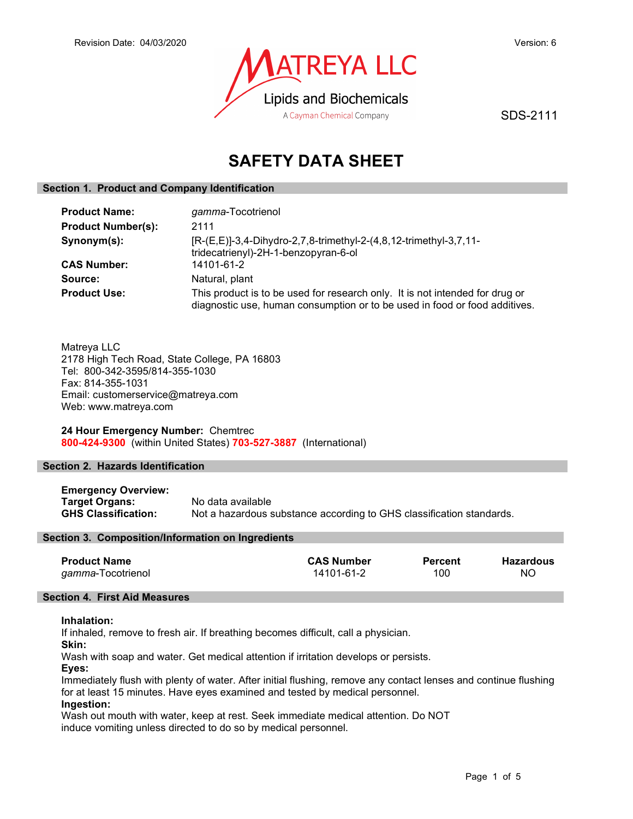

SDS-2111

# SAFETY DATA SHEET

## Section 1. Product and Company Identification

| <b>Product Name:</b>      | gamma-Tocotrienol                                                                                                                                          |
|---------------------------|------------------------------------------------------------------------------------------------------------------------------------------------------------|
| <b>Product Number(s):</b> | 2111                                                                                                                                                       |
| Synonym(s):               | [R-(E,E)]-3,4-Dihydro-2,7,8-trimethyl-2-(4,8,12-trimethyl-3,7,11-<br>tridecatrienyl)-2H-1-benzopyran-6-ol                                                  |
| <b>CAS Number:</b>        | 14101-61-2                                                                                                                                                 |
| Source:                   | Natural, plant                                                                                                                                             |
| <b>Product Use:</b>       | This product is to be used for research only. It is not intended for drug or<br>diagnostic use, human consumption or to be used in food or food additives. |

Matreya LLC 2178 High Tech Road, State College, PA 16803 Tel: 800-342-3595/814-355-1030 Fax: 814-355-1031 Email: customerservice@matreya.com Web: www.matreya.com

24 Hour Emergency Number: Chemtrec 800-424-9300 (within United States) 703-527-3887 (International)

# Section 2. Hazards Identification

Emergency Overview: Target Organs: No data available GHS Classification: Not a hazardous substance according to GHS classification standards.

## Section 3. Composition/Information on Ingredients

| <b>Product Name</b>       | <b>CAS Number</b> | <b>Percent</b> | Hazardous |
|---------------------------|-------------------|----------------|-----------|
| <i>gamma</i> -Tocotrienol | 14101-61-2        | 100            | NO        |

# Section 4. First Aid Measures

## Inhalation:

If inhaled, remove to fresh air. If breathing becomes difficult, call a physician.

Skin:

Wash with soap and water. Get medical attention if irritation develops or persists.

Eyes:

Immediately flush with plenty of water. After initial flushing, remove any contact lenses and continue flushing for at least 15 minutes. Have eyes examined and tested by medical personnel. Ingestion:

Wash out mouth with water, keep at rest. Seek immediate medical attention. Do NOT induce vomiting unless directed to do so by medical personnel.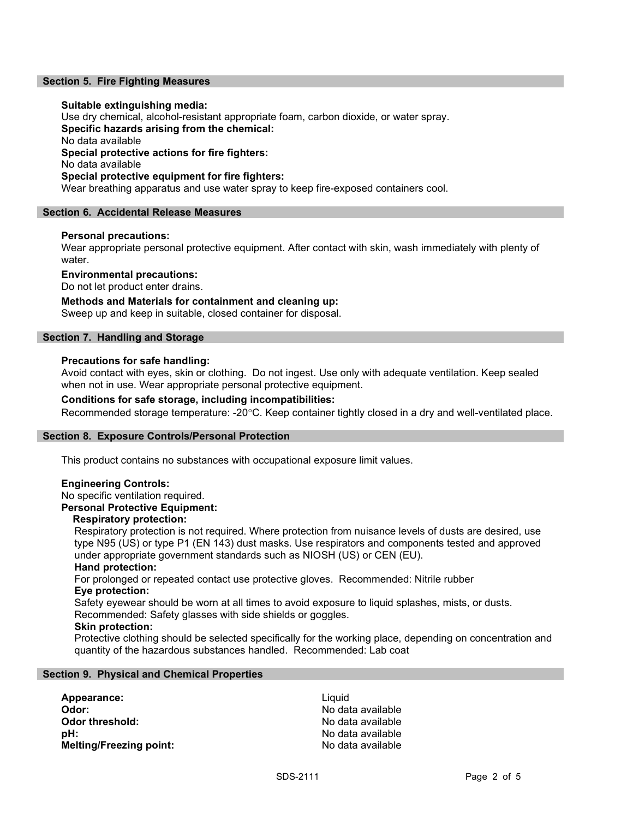## Section 5. Fire Fighting Measures

### Suitable extinguishing media:

Use dry chemical, alcohol-resistant appropriate foam, carbon dioxide, or water spray. Specific hazards arising from the chemical: No data available Special protective actions for fire fighters: No data available Special protective equipment for fire fighters: Wear breathing apparatus and use water spray to keep fire-exposed containers cool.

#### Section 6. Accidental Release Measures

#### Personal precautions:

Wear appropriate personal protective equipment. After contact with skin, wash immediately with plenty of water.

Environmental precautions:

Do not let product enter drains.

## Methods and Materials for containment and cleaning up:

Sweep up and keep in suitable, closed container for disposal.

## Section 7. Handling and Storage

#### Precautions for safe handling:

Avoid contact with eyes, skin or clothing. Do not ingest. Use only with adequate ventilation. Keep sealed when not in use. Wear appropriate personal protective equipment.

## Conditions for safe storage, including incompatibilities:

Recommended storage temperature: -20°C. Keep container tightly closed in a dry and well-ventilated place.

#### Section 8. Exposure Controls/Personal Protection

This product contains no substances with occupational exposure limit values.

## Engineering Controls:

No specific ventilation required.

# Personal Protective Equipment:

# Respiratory protection:

Respiratory protection is not required. Where protection from nuisance levels of dusts are desired, use type N95 (US) or type P1 (EN 143) dust masks. Use respirators and components tested and approved under appropriate government standards such as NIOSH (US) or CEN (EU).

#### Hand protection:

For prolonged or repeated contact use protective gloves. Recommended: Nitrile rubber Eye protection:

Safety eyewear should be worn at all times to avoid exposure to liquid splashes, mists, or dusts. Recommended: Safety glasses with side shields or goggles.

#### Skin protection:

Protective clothing should be selected specifically for the working place, depending on concentration and quantity of the hazardous substances handled. Recommended: Lab coat

#### Section 9. Physical and Chemical Properties

Appearance: Liquid **Odor:** No data available **Odor threshold:** No data available pH: No data available Melting/Freezing point: No data available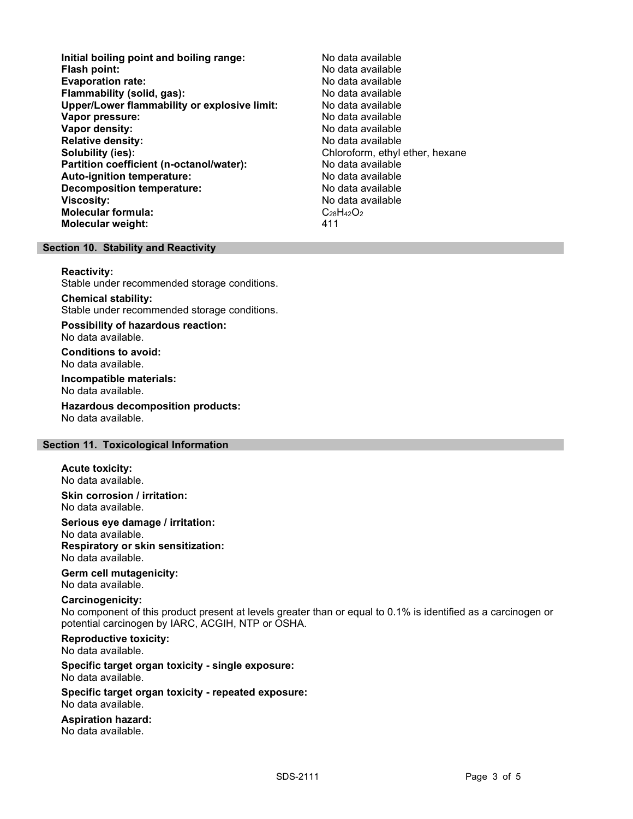- Initial boiling point and boiling range: No data available Flash point: No data available<br>
Evaporation rate: No data available Evaporation rate: Flammability (solid, gas): No data available Upper/Lower flammability or explosive limit: No data available **Vapor pressure:** No data available values and the values of the values of the values of the values of the values of the values of the values of the values of the values of the values of the values of the values of the val Vapor density: No data available Relative density: No data available Solubility (ies): Chloroform, ethyl ether, hexane Partition coefficient (n-octanol/water): No data available<br>
Auto-ignition temperature: No data available Auto-ignition temperature: Decomposition temperature: No data available Viscosity: No data available Molecular formula:  $C_{28}H_{42}O_2$ Molecular weight: 411
	-

# Section 10. Stability and Reactivity

#### Reactivity:

Stable under recommended storage conditions.

# Chemical stability:

Stable under recommended storage conditions.

Possibility of hazardous reaction: No data available.

Conditions to avoid: No data available.

Incompatible materials: No data available.

Hazardous decomposition products: No data available.

## Section 11. Toxicological Information

Acute toxicity: No data available.

Skin corrosion / irritation: No data available.

Serious eye damage / irritation: No data available. Respiratory or skin sensitization: No data available.

Germ cell mutagenicity: No data available.

## Carcinogenicity:

No component of this product present at levels greater than or equal to 0.1% is identified as a carcinogen or potential carcinogen by IARC, ACGIH, NTP or OSHA.

# Reproductive toxicity:

No data available.

#### Specific target organ toxicity - single exposure: No data available.

Specific target organ toxicity - repeated exposure: No data available.

Aspiration hazard: No data available.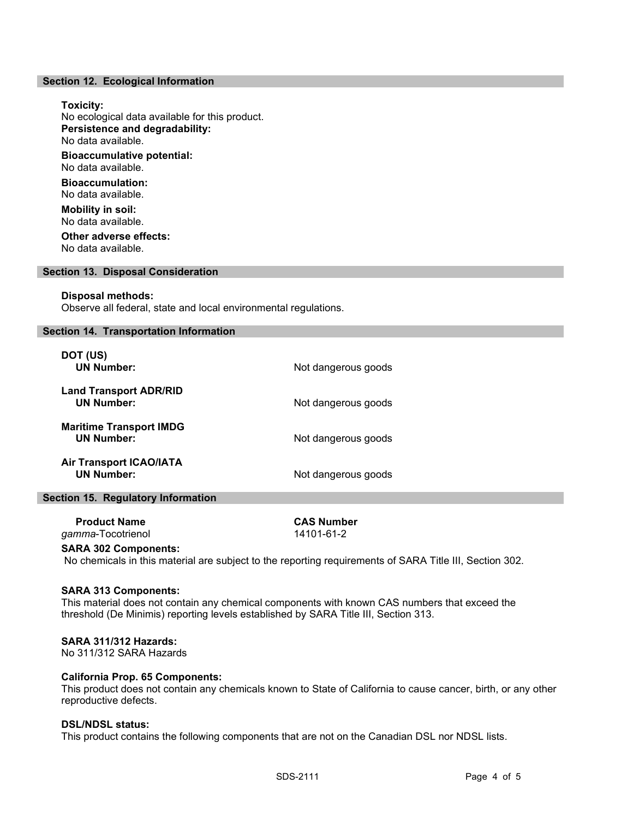#### Section 12. Ecological Information

### Toxicity:

No ecological data available for this product. Persistence and degradability: No data available.

Bioaccumulative potential: No data available. Bioaccumulation:

No data available.

Mobility in soil: No data available.

Other adverse effects: No data available.

# Section 13. Disposal Consideration

#### Disposal methods:

Observe all federal, state and local environmental regulations.

## Section 14. Transportation Information

| DOT (US)<br><b>UN Number:</b>                       | Not dangerous goods |
|-----------------------------------------------------|---------------------|
| <b>Land Transport ADR/RID</b><br><b>UN Number:</b>  | Not dangerous goods |
| <b>Maritime Transport IMDG</b><br><b>UN Number:</b> | Not dangerous goods |
| <b>Air Transport ICAO/IATA</b><br><b>UN Number:</b> | Not dangerous goods |

#### Section 15. Regulatory Information

| <b>Product Name</b>       | <b>CAS Number</b> |  |
|---------------------------|-------------------|--|
| <i>gamma</i> -Tocotrienol | 14101-61-2        |  |
|                           |                   |  |

#### SARA 302 Components:

No chemicals in this material are subject to the reporting requirements of SARA Title III, Section 302.

#### SARA 313 Components:

This material does not contain any chemical components with known CAS numbers that exceed the threshold (De Minimis) reporting levels established by SARA Title III, Section 313.

## SARA 311/312 Hazards:

No 311/312 SARA Hazards

## California Prop. 65 Components:

This product does not contain any chemicals known to State of California to cause cancer, birth, or any other reproductive defects.

# DSL/NDSL status:

This product contains the following components that are not on the Canadian DSL nor NDSL lists.